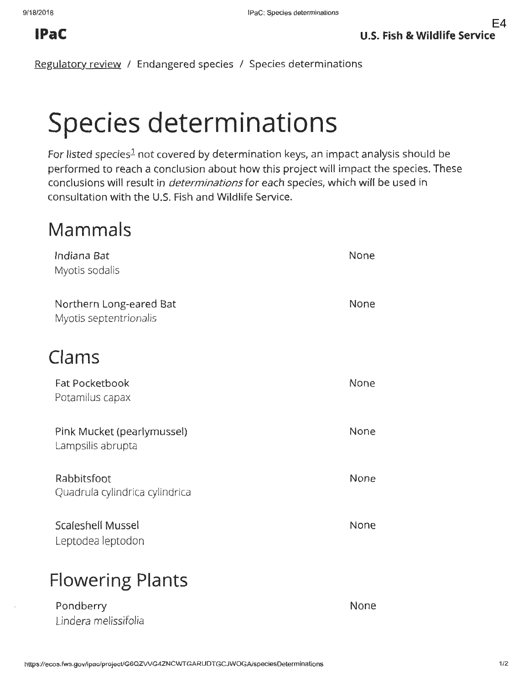Regulatory review / Endangered species *I* Species determinations

# **Species determinations**

For listed species<sup>1</sup> not covered by determination keys, an impact analysis should be performed to reach a conclusion about how this project will impact the species. These conclusions will result in *determinations* for each species, which will be used in consultation with the U.S. Fish and Wildlife Service.

### **Mammals**

| Indiana Bat<br>Myotis sodalis                     | None |
|---------------------------------------------------|------|
| Northern Long-eared Bat<br>Myotis septentrionalis | None |
| Clams                                             |      |
| Fat Pocketbook<br>Potamilus capax                 | None |
| Pink Mucket (pearlymussel)<br>Lampsilis abrupta   | None |
| Rabbitsfoot<br>Quadrula cylindrica cylindrica     | None |
| <b>Scaleshell Mussel</b><br>Leptodea leptodon     | None |
|                                                   |      |

### **Flowering Plants**

| Pondberry            |  |  |  |  |
|----------------------|--|--|--|--|
| Lindera melissifolia |  |  |  |  |

None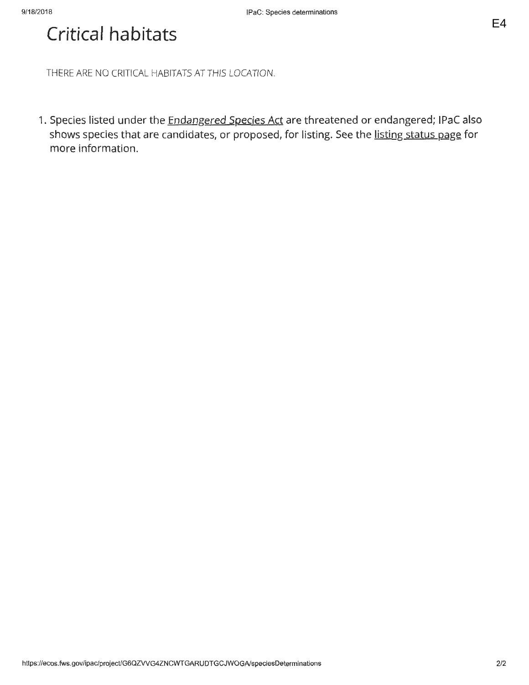### **Critical habitats**

THERE ARE NO CRITICAL HABITATS AT THIS LOCATION.

1. Species listed under the Endangered Species Act are threatened or endangered; IPaC also shows species that are candidates, or proposed, for listing. See the listing status page for more information.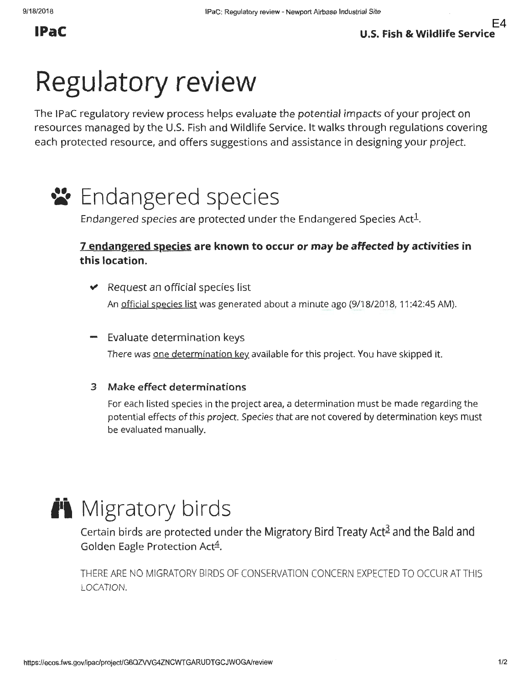# Regulatory review

The IPaC regulatory review process helps evaluate the potential impacts of your project on resources managed by the U.S. Fish and Wildlife Service. It walks through regulations covering each protected resource, and offers suggestions and assistance in designing your project.



Endangered species are protected under the Endangered Species Act $\frac{1}{2}$ .

#### <u>**7** endangered species</u> are known to occur or may be affected by activities in</u> **this location.**

- $\vee$  Request an official species list An official species list was generated about a minute ago (9/18/2018, 11:42:45 AM).
- Evaluate determination keys There was <u>one determination key</u> available for this project. You have skipped it.

#### **3 Make effect determinations**

For each listed species in the project area, a determination must be made regarding the potential effects of this project. Species that are not covered by determination keys must be evaluated manually.

## **l1 i** Migratory birds

Certain birds are protected under the Migratory Bird Treaty Act<sup>3</sup> and the Bald and Golden Eagle Protection Act<sup>4</sup>.

THERE ARE NO MIGRATORY BIRDS OF CONSERVATION CONCERN EXPECTED TO OCCUR AT THIS LOCATION.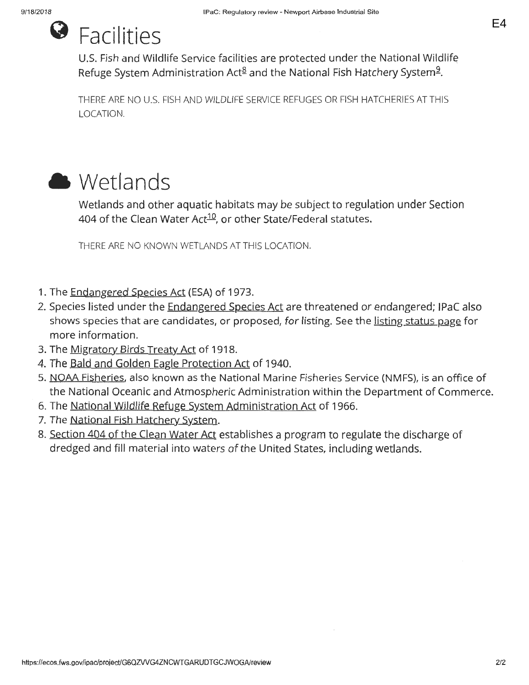## **g Facilities**

U.S. Fish and Wildlife Service facilities are protected under the National Wildlife Refuge System Administration Act<sup>8</sup> and the National Fish Hatchery System<sup>2</sup>.

THERE ARE NO U.S. FISH AND WILDLIFE SERVICE REFUGES OR FISH HATCHERIES AT THIS LOCATION.



## **a Wetlands**

Wetlands and other aquatic habitats may be subject to regulation under Section 404 of the Clean Water Act<sup>10</sup>, or other State/Federal statutes.

THERE ARE NO KNOWN WETLANDS AT THIS LOCATION.

- 1. The Endangered Species Act (ESA) of 1973.
- 2. Species listed under the Endangered Species Act are threatened or endangered; IPaC also shows species that are candidates, or proposed, for listing. See the listing status page for more information.
- 3. The Migratory Birds Treaty Act of 1918.
- 4. The Bald and Golden Eagle Protection Act of 1940.
- 5. NOAA Fisheries, also known as the National Marine Fisheries Service (NMFS), is an office of the National Oceanic and Atmospheric Administration within the Department of Commerce.
- 6. The National Wildlife Refuge System Administration Act of 1966.
- 7. The National Fish Hatchery System.
- 8. Section 404 of the Clean Water Act establishes a program to regulate the discharge of dredged and fill material into waters of the United States, including wetlands.